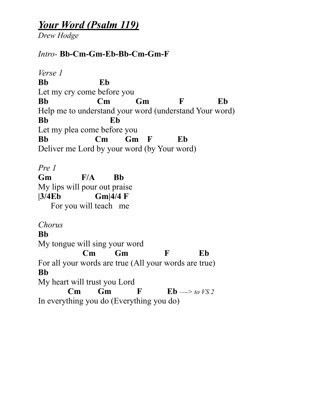## *Your Word (Psalm 119)*

*Drew Hodge*

## *Intro-* **Bb-Cm-Gm-Eb-Bb-Cm-Gm-F**

*Verse 1*  **Bb Eb** Let my cry come before you **Bb Cm Gm F Eb**  Help me to understand your word (understand Your word) **Bb Eb**  Let my plea come before you **Bb Cm Gm F Eb**  Deliver me Lord by your word (by Your word) *Pre 1*  **Gm F/A Bb** My lips will pour out praise **|3/4Eb Gm|4/4 F**  For you will teach me *Chorus* **Bb**  My tongue will sing your word  **Cm Gm F Eb**  For all your words are true (All your words are true) **Bb**  My heart will trust you Lord **Cm** Gm F Eb  $\rightarrow$  to VS 2 In everything you do (Everything you do)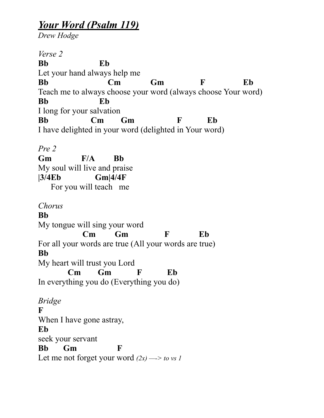## *Your Word (Psalm 119)*

*Drew Hodge*

*Verse 2*  **Bb Eb** Let your hand always help me **Bb Cm Gm F Eb**  Teach me to always choose your word (always choose Your word) **Bb Eb** I long for your salvation **Bb Cm Gm F Eb**  I have delighted in your word (delighted in Your word) *Pre 2* 

**Gm F/A Bb** My soul will live and praise **|3/4Eb Gm|4/4F**  For you will teach me

*Chorus*

**Bb**  My tongue will sing your word  **Cm Gm F Eb**  For all your words are true (All your words are true) **Bb**  My heart will trust you Lord  **Cm Gm F Eb**  In everything you do (Everything you do) *Bridge* 

**F**  When I have gone astray, **Eb**  seek your servant **Bb Gm F**  Let me not forget your word  $(2x) \rightarrow$  to vs 1